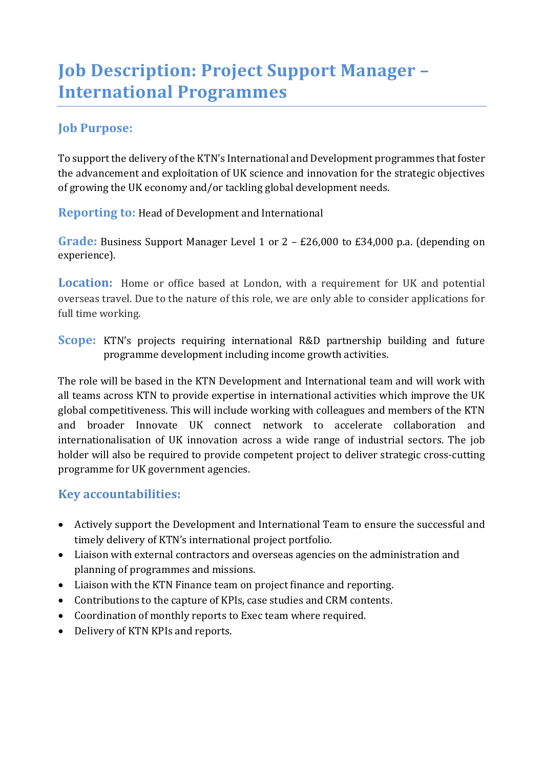# **Job Description: Project Support Manager – International Programmes**

#### **Job Purpose:**

To support the delivery of the KTN's International and Development programmes that foster the advancement and exploitation of UK science and innovation for the strategic objectives of growing the UK economy and/or tackling global development needs.

**Reporting to:** Head of Development and International

**Grade:** Business Support Manager Level 1 or 2 - £26,000 to £34,000 p.a. (depending on experience).

**Location:** Home or office based at London, with a requirement for UK and potential overseas travel. Due to the nature of this role, we are only able to consider applications for full time working.

**Scope:** KTN's projects requiring international R&D partnership building and future programme development including income growth activities.

The role will be based in the KTN Development and International team and will work with all teams across KTN to provide expertise in international activities which improve the UK global competitiveness. This will include working with colleagues and members of the KTN and broader Innovate UK connect network to accelerate collaboration and internationalisation of UK innovation across a wide range of industrial sectors. The job holder will also be required to provide competent project to deliver strategic cross-cutting programme for UK government agencies.

#### **Key accountabilities:**

- Actively support the Development and International Team to ensure the successful and timely delivery of KTN's international project portfolio.
- Liaison with external contractors and overseas agencies on the administration and planning of programmes and missions.
- Liaison with the KTN Finance team on project finance and reporting.
- Contributions to the capture of KPIs, case studies and CRM contents.
- Coordination of monthly reports to Exec team where required.
- Delivery of KTN KPIs and reports.